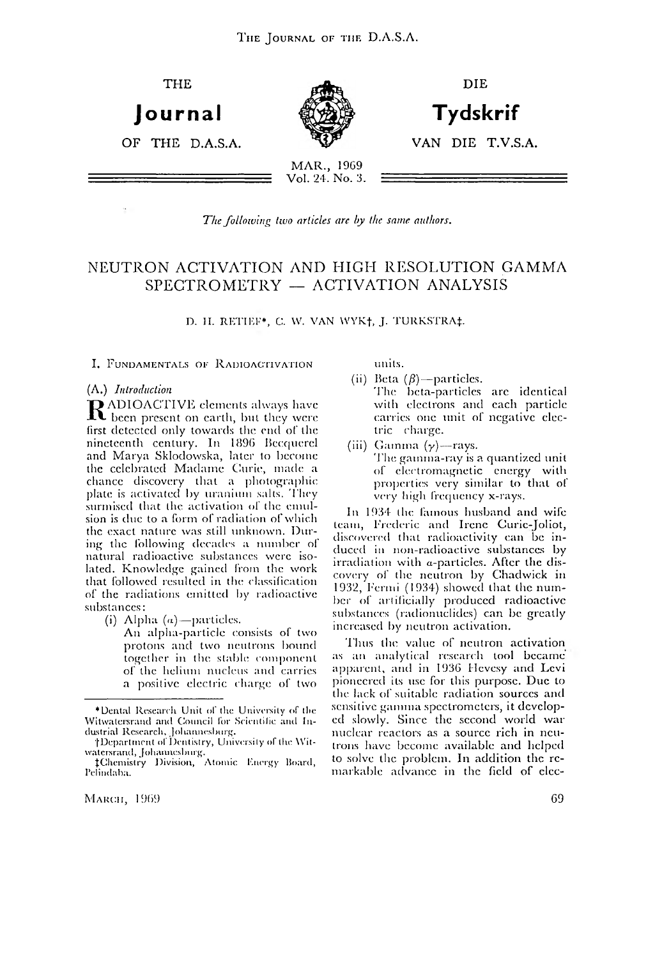

The following two articles are by the same authors.

## NEUTRON ACTIVATION AND HIGH RESOLUTION GAMMA SPECTROMETRY — ACTIVATION ANALYSIS

**D. H. RETIEF\*, C. W. VAN WYK†, J. TURKSTRA‡.** 

I. FUNDAMENTALS OF RADIOACTIVATION

#### (A.) *Introduction*

 $\mathbf R$  ADIOACTIVE elements always have<br>first detected only tenugularly were been present on earth, bnl they were first detected only towards the end of the nineteenth century. In 1896 Bccqucrel and Marya Sklodowska, later to become the celebrated Madame Curie, made a chance discovery that a photographic plate is activated by uranium salts. They surmised that the activation of the emulsion is due to a form of radiation of which the exact nature was still unknown. During the following decades a number of natural radioactive substances were isolated. Knowledge gained from the work that followed resulted in the classification of the radiations emitted by radioactive substances:

(i) Alpha  $(a)$ —particles.

An alpha-particle consists of two protons and two neutrons bound together in the stable component of the helium nucleus and carries a positive electric charge of two

units.

- (ii) Beta  $(\beta)$ —particles. The beta-particles arc identical with electrons and each particle carries one unit of negative electric charge.
- (iii) Gamma  $(y)$ —rays. The gamma-ray is a quantized unit of electromagnetic energy with properties very similar to that of very high frequency x-rays.

In 1934 the famous husband and wife team, Frederic and Irene Curic-Joliot, discovered that radioactivity can be induced in non-radioactivc substances by irradiation with a-particlcs. After the discovery of the neutron by Chadwick in 1932, Fermi (1934) showed that the num ber of artificially produced radioactive substances (radionuclides) can be greatly increased by neutron activation.

'Finis the value of neutron activation as an analytical research tool became apparent, and in 1936 Hevesy and Levi pioneered its use for this purpose. Due to the lack of suitable radiation sources and sensitive gamma spectrometers, it developed slowly. Since the second world war nuclear reactors as a source rich in neutrons have become available and helped to solve the problem. In addition the remarkable advance in the field of clcc-

<sup>\*</sup> Dental Research U nit of the University of the Witwatersrand and Council for Scientific and Industrial Research, Johannesburg.

<sup>†</sup>Department of Dentistry, University of the Witwatersrand, Johannesburg.

<sup>{</sup>Chemistry Division, Atomic Knergy Hoard, Pclindaba.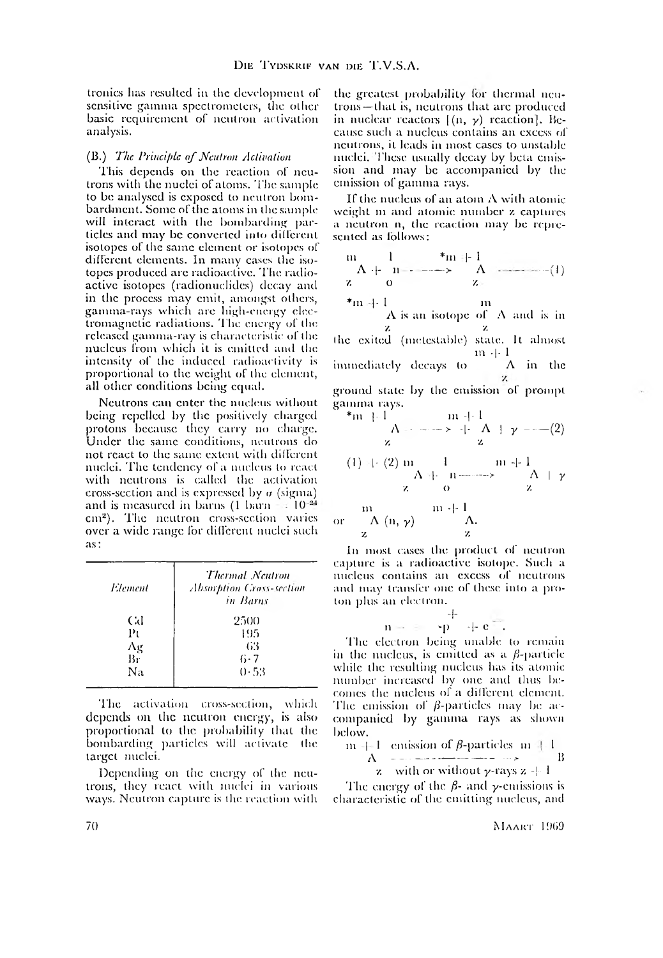tronics has resulted in the development of sensitive gamma spectrometers, the other basic requirement of neutron activation analysis.

#### (B.) *The Principle o f Neutron Activation*

This depends on the reaction of neutrons with the nuclei of atoms. The sample to be analysed is exposed to neutron bom bardment. Some of the atoms in the sample will interact with the bombarding particles and may be converted into different isotopes of the same element or isotopes of different elements. In many cases the isotopes produced arc radioactive. The radioactive isotopes (radionuclides) decay anil in the process may emit, amongst others, gamma-rays which are high-energy electromagnetic radiations. The energy of the released gamma-ray is characteristic of the nucleus from which it is emitted and the intensity of the induced radioactivity is proportional to the weight of the element, all other conditions being equal.

Neutrons can enter the nucleus without being repelled by the positively charged protons because they carry no charge. Under the same conditions, neutrons do not react to the same extent with different nuclei. The tendency of a nucleus to react with neutrons is called the activation cross-section and is expressed by  $\sigma$  (sigma) and is measured in barns (1 barn  $-10^{-24}$ cm<sup>2</sup>). The neutron cross-section varies over a wide range for different nuelei such as:

| Element | <b>Thermal</b> Neutron<br><b>Absorption Cross-section</b><br>in Barns |
|---------|-----------------------------------------------------------------------|
| Gd      | 2500                                                                  |
| Ρı      | 195                                                                   |
| Λg      | 63                                                                    |
| Br      | 6·7                                                                   |
| Na      | 0.53                                                                  |

The activation cross-section, which depends on the neutron energy, is also proportional to the probability that the bombarding particles will activate the target nuclei.

Depending on the energy of the neutrons, they react with nuclei in various ways. Neutron capture is the reaction with the greatest probability lor thermal neutrons— that is, neutrons that are produced in nuclear reactors  $[(n, \gamma)$  reaction]. Because such a nucleus contains an excess of neutrons, it leads in most cases to unstable nuclei. These usually decay by beta emission and may be accompanied by the emission of gamma rays.

If the nucleus of an atom A with atomic weight in and atomic number z captures a neutron n, the reaction may be represented as follows:

m 1 \*m |- I A -|- n - ------> A z o *v.* \*m |- 1 m A is an isotope of - ( I ) A and is in z *7.* the exited (mclcslable) state. It almost in -|- 1 immediately decays to A in the ground stale by the emission of prompt gamma rays. \*m 1 1 m -|- 1 A - ----- > T A ] y ------- (2) z z (1) I- (2) m 1 m -1- 1 A 1- 11------- > A I y z o z m m -|- 1 or A (n, y) A. z z

In most cases the product of neutron capture is a radioactive isotope. Such a nucleus contains an excess of neutrons and may transfer one of these into a proton plus an electron.

$$
n - \epsilon = \frac{+}{p} + \epsilon =
$$

The electron being unable to remain in the nucleus, is emitted as a  $\beta$ -particle while the resulting nucleus has its atomic number increased by one and thus becomes the nucleus or a different element. The emission of  $\beta$ -particles may be accompanied by gamma rays as shown below.

$$
m + 1
$$
 emission of  $\beta$ -particles  $m + 1$   
 $\Delta$  - ... - ... -  $\Delta$   
 $\mathbf{z}$  with or without  $\gamma$ -rays  $\mathbf{z} + 1$ 

The energy of the  $\beta$ - and  $\gamma$ -emissions is characteristic of the emitting nucleus, and

70 MAART 1969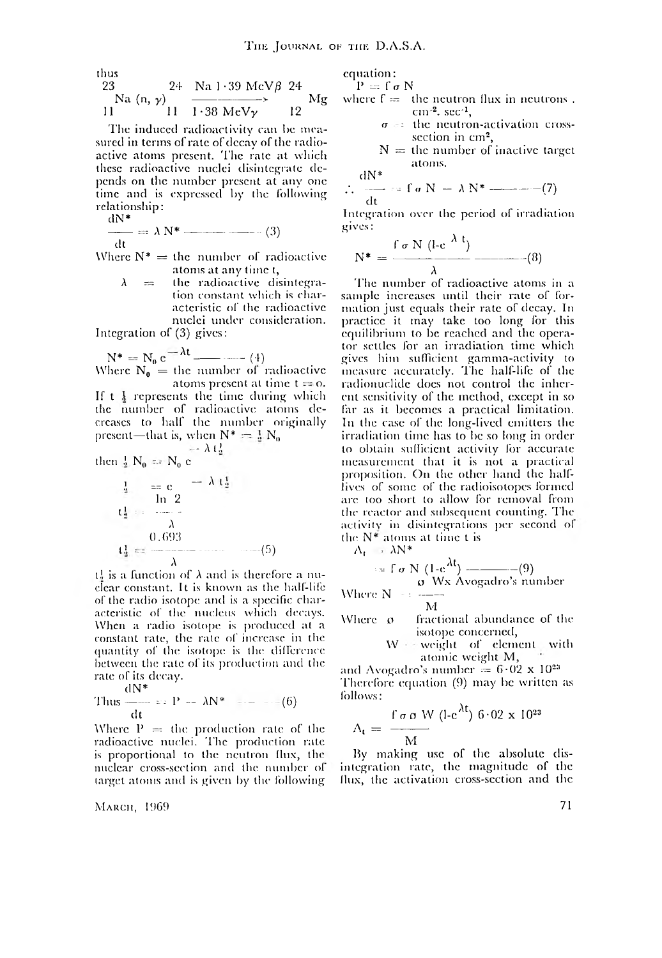thus

$$
\begin{array}{cc}\n23 & 24 & \text{Na} 1 \cdot 39 \text{ MeV} \beta & 24 \\
\hline\n\text{Na} \text{ (n, } \gamma) & \xrightarrow{11} 1 \cdot 38 \text{ MeV} \gamma\n\end{array} \quad\n\begin{array}{c}\n\text{Mg} \\
\text{Mg} \\
\end{array}
$$

The induced radioactivity can be measured in terms of rate of decay of the radioactive atoms present. The rate at which these radioactive nuclei disintegrate depends on the number present at any one time and is expressed by the following relationship:  $dN*$ 

$$
\frac{d\mathbf{r}}{dt} = \lambda \, \mathbf{N}^* \quad (3)
$$

Where  $N^* =$  the number of radioactive atoms at any time t,

> the radioactive disintegra- $\lambda$ ಂದ tion constant which is characteristic of the radioactive nuclei under consideration.

Integration of  $(3)$  gives:

$$
N^* = N_0 e^{-\lambda t} \longrightarrow (4)
$$

Where  $N_0 =$  the number of radioactive atoms present at time  $t = 0$ . If  $t \frac{1}{2}$  represents the time during which<br>the number of radioactive atoms de-<br>creases to half the number originally present—that is, when  $N^* = \frac{1}{2} N_0$ 

then 
$$
\frac{1}{2} N_0 = N_0 e^{-\lambda t \frac{1}{2}}
$$

$$
\frac{1}{4} = c \qquad -\lambda \left(\frac{1}{4}\right)
$$
\n
$$
\frac{1}{4} = \frac{0.693}{\lambda}
$$
\n
$$
\frac{0.693}{\lambda} \qquad (5)
$$

 $t_0^1$  is a function of  $\lambda$  and is therefore a nuclear constant. It is known as the half-life of the radio isotope and is a specific characteristic of the nucleus which decays. When a radio isotope is produced at a constant rate, the rate of increase in the quantity of the isotope is the difference between the rate of its production and the rate of its decay.

Thus 
$$
\frac{dN^*}{dt} = P - \lambda N^* \quad (6)
$$

Where  $P =$  the production rate of the radioactive nuclei. The production rate is proportional to the neutron flux, the nuclear cross-section and the number of target atoms and is given by the following

Макси, 1969

equation:

 $P = \int \sigma N$ 

- where  $f =$  the neutron flux in neutrons.  $cm^{-2}$ , sec<sup>-1</sup>,
	- $\sigma =$  the neutron-activation crosssection in cm<sup>2</sup>,
	- $N =$  the number of inactive target atoms.

$$
\therefore \frac{dN^*}{dt} = f \sigma N - \lambda N^* \qquad (7)
$$

Integration over the period of irradiation gives:

$$
N^* = \frac{\int \sigma N (l \cdot c^{\lambda t})}{\lambda} \qquad (8)
$$

The number of radioactive atoms in a sample increases until their rate of formation just equals their rate of decay. In practice it may take too long for this equilibrium to be reached and the operator settles for an irradiation time which gives him sufficient gamma-activity to<br>measure accurately. The half-life of the radionuclide does not control the inherent sensitivity of the method, except in so far as it becomes a practical limitation. In the case of the long-lived emitters the irradiation time has to be so long in order to obtain sufficient activity for accurate measurement that it is not a practical proposition. On the other hand the halflives of some of the radioisotopes formed are too short to allow for removal from the reactor and subsequent counting. The activity in disintegrations per second of the  $N^*$  atoms at time t is

 $\Lambda_t = \lambda N^*$ 

$$
= \int_{\mathcal{O}} \frac{N(1-e^{\lambda t})}{N} \frac{(-e^{\lambda t})}{\text{Wx Avogadro's number}}
$$
  
Where N = 177

M

fractional abundance of the Where ø isotope concerned,

$$
W = weight of element with atomic weight M,
$$

and Avogadro's number =  $6.02 \times 10^{23}$ Therefore equation (9) may be written as follows:  $\lambda$ 3

$$
\Lambda_{\rm t} = \frac{\int \sigma \, \sigma \, \mathrm{W}}{\mathrm{M}} \, (\text{l-c}^{\prime \mathrm{t}}) \, 6.02 \times 10^2
$$

By making use of the absolute disintegration rate, the magnitude of the flux, the activation cross-section and the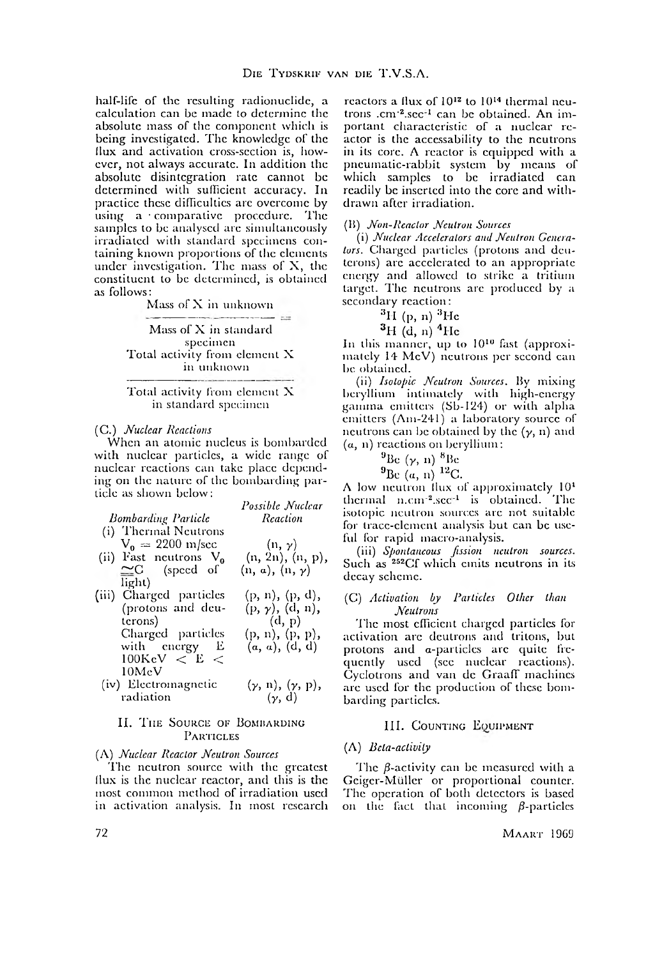half-life of the resulting radionuclide, a calculation can be made to determine the absolute mass of the component which is being investigated. The knowledge of the (lux and activation cross-section is, however, not always accurate. In addition the absolute disintegration rate cannot be determined with sufficient accuracy. In practice these difficulties are overcome by using a comparative procedure. The samples to be analysed are simultaneously irradiated with standard specimens containing known proportions of the elements under investigation. The mass of X, the constituent to be determined, is obtained as follows:

Mass of X in unknown

Mass of X in standard specimen Total activity from element X in unknown

Total activity from element X in standard specimen

#### (C.) *Nuclear Reactions*

When an atomic nucleus is bombarded with nuclear particles, a wide range of nuclear reactions can take place depending on the nature of the bombarding particle as shown below: *Possible Nuclear*

|                                      | Possible Nuclear            |
|--------------------------------------|-----------------------------|
| <b>Bombarding Particle</b>           | Reaction                    |
| (i) Thermal Neutrons                 |                             |
| $V_0 = 2200 \text{ m/sec}$           | $(n, \gamma)$               |
| (ii) Fast neutrons $V_0$             | (n, 2n), (n, p),            |
| $\approx$ C (speed of                | $(n, a), (n, \gamma)$       |
| light)                               |                             |
| (iii) Charged particles              | (p, n), (p, d),             |
| (protons and deu-                    | $(p, \gamma)$ , (d, n),     |
| terons)                              | (d, p)                      |
| Charged particles                    | (p, n), (p, p),             |
| with energy E                        | (a, a), (d, d)              |
| $100 {\rm KeV} \; < \; {\rm E} \; <$ |                             |
| $10\,\mathrm{MeV}$ .                 |                             |
| (iv) Electromagnetic                 | $(\gamma, n), (\gamma, p),$ |
| radiation                            | $(\gamma, d)$               |

## II. THE SOURCE OF BOMBARDING PARTICLES

**(7, d)**

(A) *Nuclear Reactor Neutron Sources*

'I'hc neutron source with the greatest llux is the nuclear reactor, and this is the most common method of irradiation used in activation analysis. In most research

reactors a flux of 10<sup>12</sup> to 10<sup>14</sup> thermal neutrons .cm<sup>-2</sup>.sec<sup>-1</sup> can be obtained. An important characteristic of a nuclear reactor is the acccssability to the neutrons in its core. A reactor is equipped with a pneumatic-rabbit system by means of which samples to be irradiated can readily be inserted into the core and withdrawn after irradiation.

#### (15) *Non-Reactor Neutron Sources*

(i) *Nuclear Accelerators and Neutron Generators.* Charged particles (protons and dcutcrons) arc accelerated to an appropriate energy and allowed to strike a tritium target. The neutrons are produced by a secondary reaction:

 ${}^{3}$ H (p, n)  ${}^{3}$ He

 $^{3}$ H (d, n)  $^{4}$ He

In this manner, up to 1010 fast (approximately 14 MeV) neutrons per second can be obtained.

(ii) *Isotopic Neutron Sources*. By mixing beryllium intimately with high-energy gamma emitters (Sb-124) or with alpha emitters (Am-241) a laboratory source of neutrons can be obtained by the  $(y, n)$  and (a, n) reactions on beryllium:

 $^9$ Be  $(\gamma, n)$   $^8$ Be

 $^9$ Be (a, n)  $^{12}$ C.

A low neutron llux of approximately 10\* thermal  $n.cm^{-2} sec^{-1}$  is obtained. The isotopic neutron sources are not suitable for trace-element analysis but can be useful for rapid macro-analysis.

(iii) *Spontaneous fission neutron sources.* Such as <sup>252</sup>Cf which emits neutrons in its decay scheme.

#### (C) *Activation by Particles Other than Neutrons*

T he most efficient charged particles for activation arc dcutrons and tritons, but protons and a-particlcs arc quite frequently used (see nuclear reactions). Cyclotrons and van dc Graaff machines are used for the production of these bombarding particles.

## III. COUNTING EQUIPMENT

## (A) *Beta-activity*

The  $\beta$ -activity can be measured with a Gciger-Mullcr or proportional counter. The operation of both detectors is based on the fact that incoming  $\beta$ -particles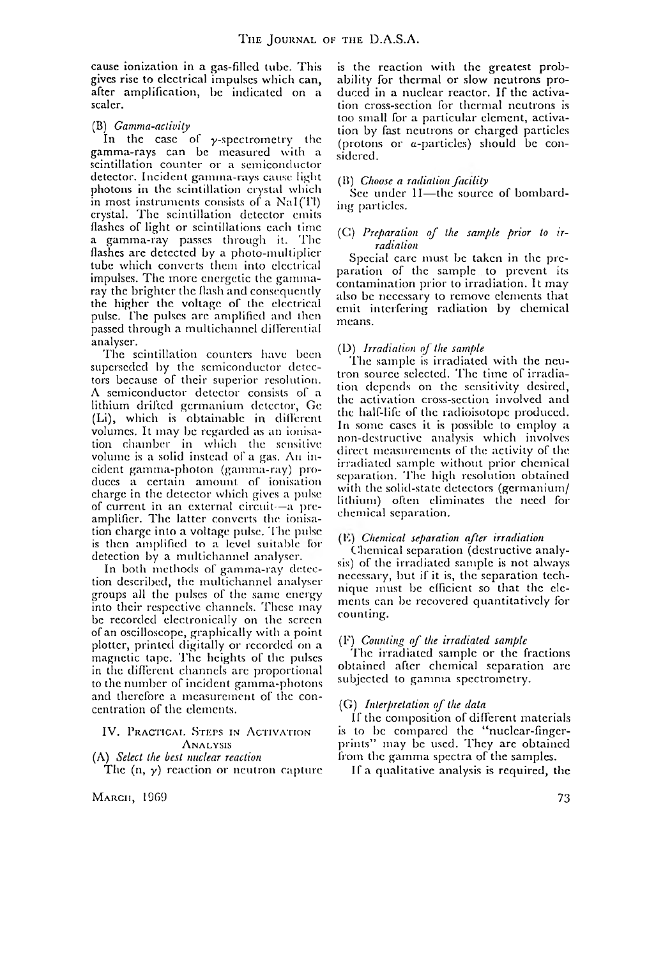cause ionization in a gas-filled tube. This gives rise to electrical impulses which can, after amplification, he indicated on a scaler.

## (B) *Gamma-activity*

In the case of  $\gamma$ -spectrometry the gamma-rays can be measured with a scintillation counter or a semiconductor detector. Incident gamma-rays cause light photons in the scintillation crystal which in most instruments consists of a  $\text{NaI(Tl)}$ crystal. The scintillation detector emits flashes of light or scintillations each time a gamma-ray passes through it. The flashes are detected by a photo-multiplier tube which converts them into electrical impulses. The more energetic the gammaray the brighter the flash and consequently the higher the voltage of the electrical pulse. The pulses arc amplified and then passed through a multichannel differential analyser.

The scintillation counters have been superseded by the semiconductor detectors because of their superior resolution. A semiconductor detector consists of a lithium drifted germanium detector, Ge (Li), which is obtainable in different volumes. It may be regarded as an ionisation chamber in which the sensitive volume is a solid instead of a gas. An incident gamma-photon (gamma-ray) produces a certain amount of ionisation charge in the detector which gives a pulse of current in an external circuit—a preamplifier. The latter converts the ionisation charge into a voltage pulse. The pulse is then amplified to a level suitable for detection by a multichannel analyser.

In both methods of gamma-ray detection described, the multichannel analyser groups all the pulses of the same energy into their respective channels. These may be recorded electronically on the screen of an oscilloscope, graphically with a point plotter, printed digitally or recorded on a magnetic tape. The heights of the pulses in the different channels are proportional to the num ber of incident gamma-photons and therefore a measurement of the concentration of the elements.

IV. PRACTICAL STEPS IN ACTIVATION **ANALYSIS** 

(A) *Select the best nuclear reaction* The (n, *y)* reaction or neutron capture

 $M$ Arch, 1969 73

is the reaction with the greatest probability for thermal or slow neutrons produced in a nuclear reactor. If the activation cross-section for thermal neutrons is loo small for a particular element, activation by fast neutrons or charged particles (protons or a-particlcs) should be considered.

## (B) *Choose a radiation facility*

See under II—the source of bombarding particles.

## (C) Preparation of the sample prior to ir*radiation*

Special care must be taken in the preparation of the sample to prevent its contamination prior to irradiation. It may also be necessary to remove elements that emit interfering radiation by chemical means.

## (D) *Irradiation of the sample*

The sample is irradiated with the neutron source selected. The time of irradiation depends on the sensitivity desired, the activation cross-section involved and the half-life of the radioisotope produced. In some cases it is possible to employ a non-destructive analysis which involves direct measurements of the activity of the irradiated sample without prior chemical separation. The high resolution obtained with the solid-state detectors (germanium/ lithium) often eliminates the need for chemical separation.

## (Is) *Chemical separation after irradiation*

Chemical separation (destructive analysis) of the irradiated sample is not always necessary, but if it is, the separation technique must be efficient so that the elements can be recovered quantitatively for counting.

## (F) *Counting o f the irradiated sample*

The irradiated sample or the fractions obtained after chemical separation are subjected to gamma spectrometry.

## (G) *Interpretation of the data*

If the composition of different materials is to be compared the "nuclear-fingerprints" may be used. They arc obtained from the gamma spectra of the samples.

If a qualitative analysis is required, the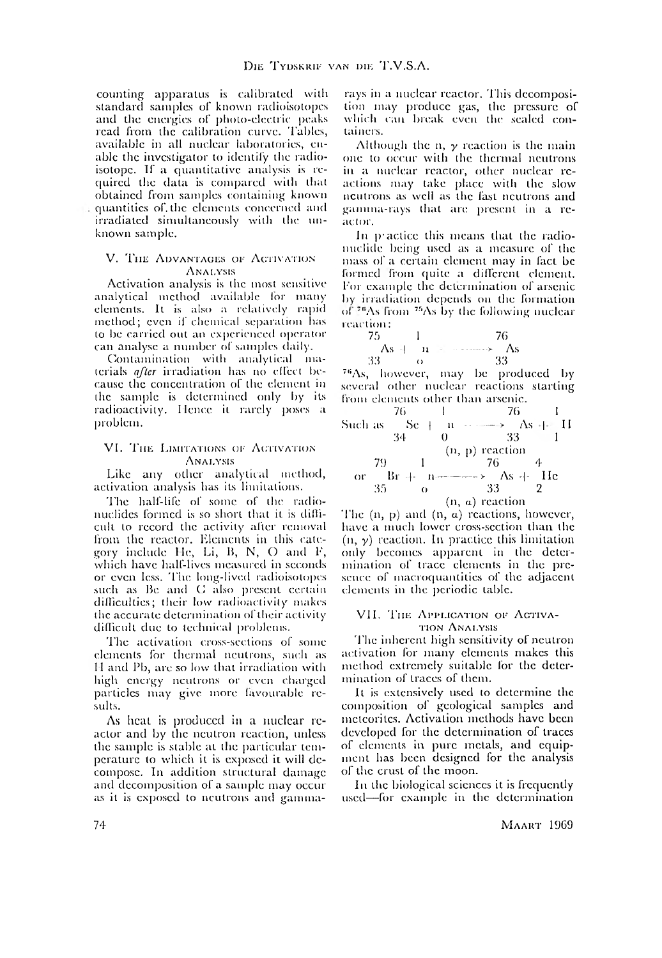counting apparatus is calibrated with standard samples of known radioisotopes and the energies of photo-electric peaks read from the calibration curve. Tables, available in all nuclear laboratories, enable the investigator to identify the radioisotope. If a quantitative analysis is required the data is compared with that obtained from samples containing known quantities of. the elements concerned and irradiated simultaneously with the unknown sample.

#### V. THE ADVANTAGES OF ACTIVATION A nalysis

Activation analysis is the most sensitive analytical method available for many elements. It is also a relatively rapid method; even if chemical separation has to be carried out an experienced operator can analyse a number of samples daily.

Contamination with analytical materials *qflcr* irradiation has no effect because the concentration of the element in the sample is determined only by its radioactivity. Hence it rarely poses a problem.

#### VI. THE LIMITATIONS OF ACTIVATION **ANALYSIS**

Like any other analytical method, activation analysis has its limitations.

The half-life of some of the radionuclides formed is so short that it is difficult to record the activity after removal from the reactor. Elements in this category include He, Li, B, N, O and F, which have half-lives measured in seconds or even less. T he long-lived radioisotopes such as Be and C also present certain difficulties; their low radioactivity makes the accurate determination of their activity difficult due to technical problems.

The activation cross-sections of some elements for thermal neutrons, such as I I and Pb, are so low that irradiation with high energy neutrons or even charged particles may give more favourable results.

As heat is produced in a nuclear reactor and by the neutron reaction, unless the sample is stable at the particular temperature to which it is exposed it will decompose. In addition structural damage and decomposition of a sample may occur as it is exposed to neutrons and gammarays in a nuclear reactor. This decomposition may produce gas, the pressure of which can break even the sealed containers.

Although the n,  $\gamma$  reaction is the main one to occur with the thermal neutrons in a nuclear reactor, other nuclear reactions may take place with the slow neutrons as well as the fast neutrons and gamma-rays that are present in a reaclor.

In practice this means that the radionuclide being used as a measure of the mass of a certain clement may in fact be formed from quite a different element. For example the determination of arsenic by irradiation depends on the formation of  $76\text{As}$  from  $75\text{As}$  by the following nuclear reaction:



The  $(n, p)$  and  $(n, a)$  reactions, however, have a much lower cross-section than the  $(n, \gamma)$  reaction. In practice this limitation only becomes apparent in the determination of trace elements in the presence of macroquantities of the adjacent elements in the periodic table.

#### VII. THE APPLICATION OF ACTIVAtion A nalysis

The inherent high sensitivity of neutron activation for many elements makes this method extremely suitable for the determination of traces of them.

It is extensively used to determine the composition of geological samples and meteorites. Activation methods have been developed for the determination of traces of elements in pure metals, and equipment has been designed for the analysis of the crust of the moon.

In the biological sciences it is frequently used— for example in the determination